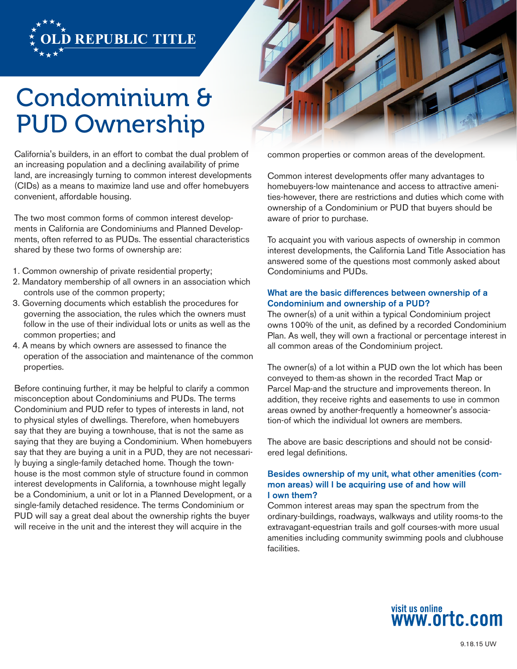

# Condominium & PUD Ownership

California's builders, in an effort to combat the dual problem of an increasing population and a declining availability of prime land, are increasingly turning to common interest developments (CIDs) as a means to maximize land use and offer homebuyers convenient, affordable housing.

The two most common forms of common interest developments in California are Condominiums and Planned Developments, often referred to as PUDs. The essential characteristics shared by these two forms of ownership are:

- 1. Common ownership of private residential property;
- 2. Mandatory membership of all owners in an association which controls use of the common property;
- 3. Governing documents which establish the procedures for governing the association, the rules which the owners must follow in the use of their individual lots or units as well as the common properties; and
- 4. A means by which owners are assessed to finance the operation of the association and maintenance of the common properties.

Before continuing further, it may be helpful to clarify a common misconception about Condominiums and PUDs. The terms Condominium and PUD refer to types of interests in land, not to physical styles of dwellings. Therefore, when homebuyers say that they are buying a townhouse, that is not the same as saying that they are buying a Condominium. When homebuyers say that they are buying a unit in a PUD, they are not necessarily buying a single-family detached home. Though the townhouse is the most common style of structure found in common interest developments in California, a townhouse might legally be a Condominium, a unit or lot in a Planned Development, or a single-family detached residence. The terms Condominium or PUD will say a great deal about the ownership rights the buyer will receive in the unit and the interest they will acquire in the



common properties or common areas of the development.

Common interest developments offer many advantages to homebuyers-low maintenance and access to attractive amenities-however, there are restrictions and duties which come with ownership of a Condominium or PUD that buyers should be aware of prior to purchase.

To acquaint you with various aspects of ownership in common interest developments, the California Land Title Association has answered some of the questions most commonly asked about Condominiums and PUDs.

## What are the basic differences between ownership of a Condominium and ownership of a PUD?

The owner(s) of a unit within a typical Condominium project owns 100% of the unit, as defined by a recorded Condominium Plan. As well, they will own a fractional or percentage interest in all common areas of the Condominium project.

The owner(s) of a lot within a PUD own the lot which has been conveyed to them-as shown in the recorded Tract Map or Parcel Map-and the structure and improvements thereon. In addition, they receive rights and easements to use in common areas owned by another-frequently a homeowner's association-of which the individual lot owners are members.

The above are basic descriptions and should not be considered legal definitions.

# Besides ownership of my unit, what other amenities (common areas) will I be acquiring use of and how will I own them?

Common interest areas may span the spectrum from the ordinary-buildings, roadways, walkways and utility rooms-to the extravagant-equestrian trails and golf courses-with more usual amenities including community swimming pools and clubhouse facilities.